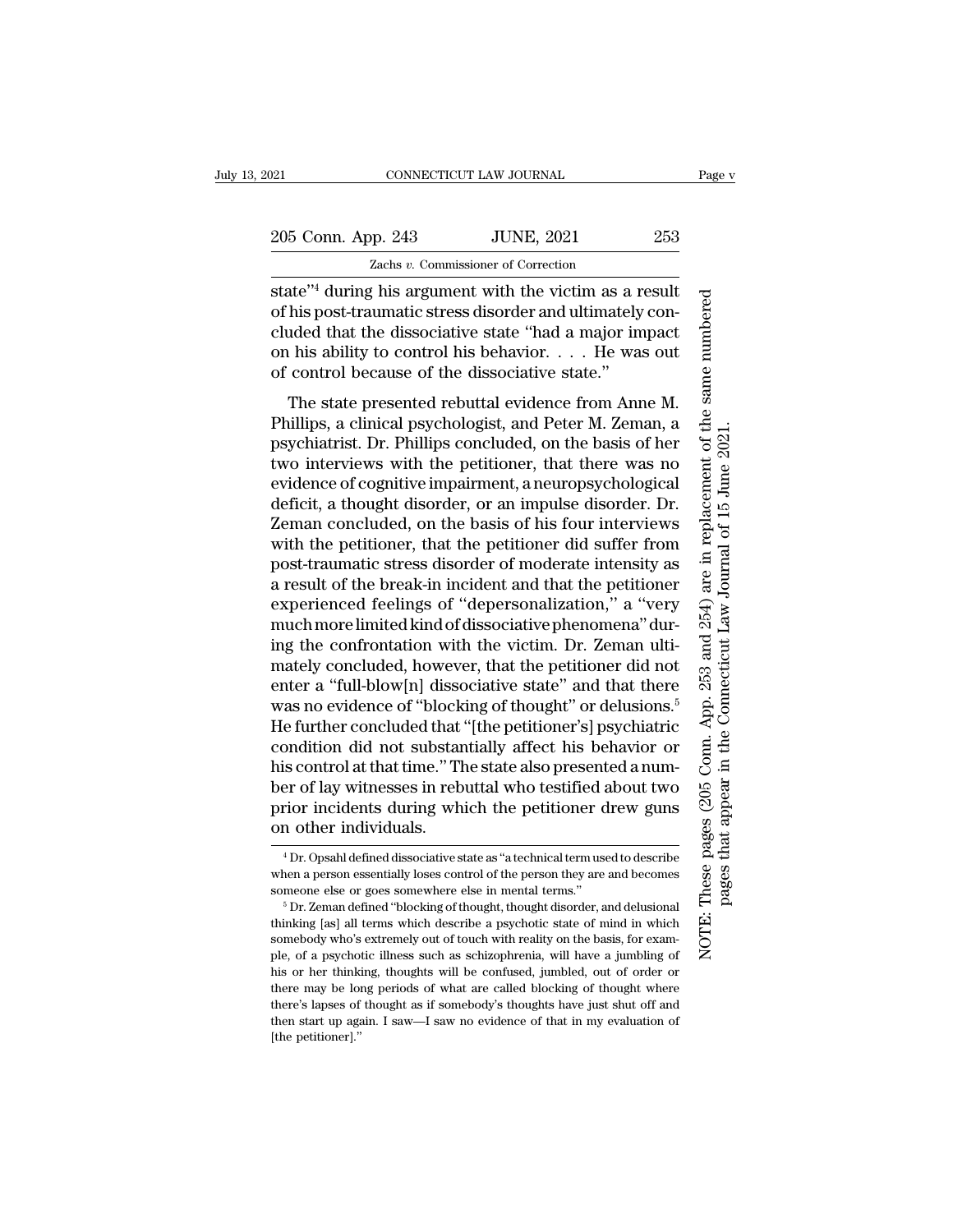205 Conn. App. 243 JUNE, 2021 253

Zachs *v.* Commissioner of Correction

state''4 during his argument with the victim as a result of his post-traumatic stress disorder and ultimately concluded that the dissociative state ''had a major impact on his ability to control his behavior. . . . He was out of control because of the dissociative state.''

The state presented rebuttal evidence from Anne M. Phillips, a clinical psychologist, and Peter M. Zeman, a psychiatrist. Dr. Phillips concluded, on the basis of her two interviews with the petitioner, that there was no evidence of cognitive impairment, a neuropsychological deficit, a thought disorder, or an impulse disorder. Dr. Zeman concluded, on the basis of his four interviews with the petitioner, that the petitioner did suffer from post-traumatic stress disorder of moderate intensity as a result of the break-in incident and that the petitioner experienced feelings of ''depersonalization,'' a ''very muchmorelimited kind of dissociative phenomena'' during the confrontation with the victim. Dr. Zeman ultimately concluded, however, that the petitioner did not enter a "full-blow[n] dissociative state" and that there was no evidence of "blocking of thought" or delusions.<sup>5</sup> He further concluded that ''[the petitioner's] psychiatric condition did not substantially affect his behavior or his control at that time.'' The state also presented a number of lay witnesses in rebuttal who testified about two prior incidents during which the petitioner drew guns on other individuals.

These pages (205 Conn. App. 253 and 254) are in replacement of the same numbered NOTE: These pages (205 Conn. App. 253 and 254) are in replacement of the same numbered pages that appear in the Connecticut Law Journal of 15 June 2021.pages that appear in the Connecticut Law Journal of 15 June 2021 NOTE:

<sup>4</sup> Dr. Opsahl defined dissociative state as ''a technical term used to describe when a person essentially loses control of the person they are and becomes someone else or goes somewhere else in mental terms.''

<sup>5</sup> Dr. Zeman defined ''blocking of thought, thought disorder, and delusional thinking [as] all terms which describe a psychotic state of mind in which somebody who's extremely out of touch with reality on the basis, for example, of a psychotic illness such as schizophrenia, will have a jumbling of his or her thinking, thoughts will be confused, jumbled, out of order or there may be long periods of what are called blocking of thought where there's lapses of thought as if somebody's thoughts have just shut off and then start up again. I saw—I saw no evidence of that in my evaluation of [the petitioner].''